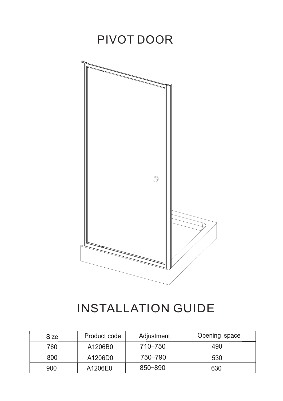

## INSTALLATION GUIDE

| <b>Size</b> | Product code | Adjustment  | Opening space |
|-------------|--------------|-------------|---------------|
| 760         | A1206B0      | $710 - 750$ | 490           |
| 800         | A1206D0      | 750-790     | 530           |
| 900         | A1206E0      | $850 - 890$ | 630           |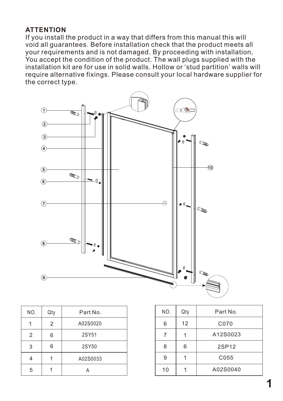## **ATTENTION**

If you install the product in a way that differs from this manual this will void all guarantees. Before installation check that the product meets all your requirements and is not damaged. By proceeding with installation, You accept the condition of the product. The wall plugs supplied with the installation kit are for use in solid walls. Hollow or 'stud partition' walls will require alternative fixings. Please consult your local hardware supplier for the correct type.



| NO. | Qty | Part No. | NO. | Qty |
|-----|-----|----------|-----|-----|
|     | 2   | A02S0020 | 6   | 12  |
| 2   | 6   | 2SY51    |     |     |
| 3   | 6   | 2SY50    | 8   | 6   |
| 4   |     | A02S0033 | 9   |     |
| 5   |     |          | 10  |     |

| NO. | Qty | Part No. |
|-----|-----|----------|
| 6   | 12  | C070     |
|     |     | A12S0023 |
| 8   | 6   | 2SP12    |
| 9   |     | C055     |
| 10  |     | A02S0040 |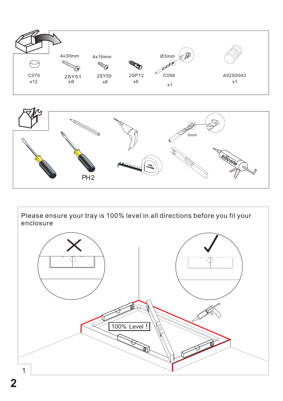



Please ensure your tray is 100% level in all directions before you fit your enclosure

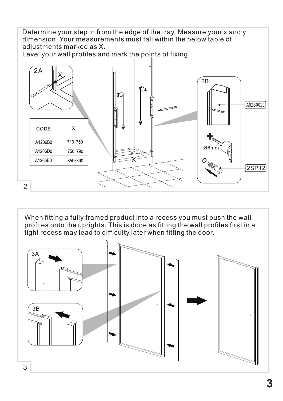Determine your step in from the edge of the tray. Measure your x and y dimension. Your measurements must fall within the below table of adjustments marked as X. Level your wall profiles and mark the points of fixing. 2A X  $2B$ ī I A02S0020 CODE X A1206B0 710-750 Ø6mr A1206D0 750-790 A1206E0  $\chi$ 850-890 2SP12 2

When fitting a fully framed product into a recess you must push the wall profiles onto the uprights. This is done as fitting the wall profiles first in a tight recess may lead to difficulty later when fitting the door.

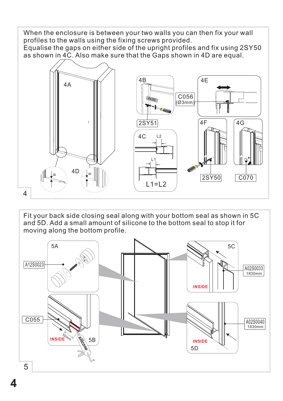When the enclosure is between your two walls you can then fix your wall profiles to the walls using the fixing screws provided. Equalise the gaps on either side of the upright profiles and fix using 2SY50 as shown in 4C. Also make sure that the Gaps shown in 4D are equal.



Fit your back side closing seal along with your bottom seal as shown in 5C and 5D. Add a small amount of silicone to the bottom seal to stop it for moving along the bottom profile.



**4**